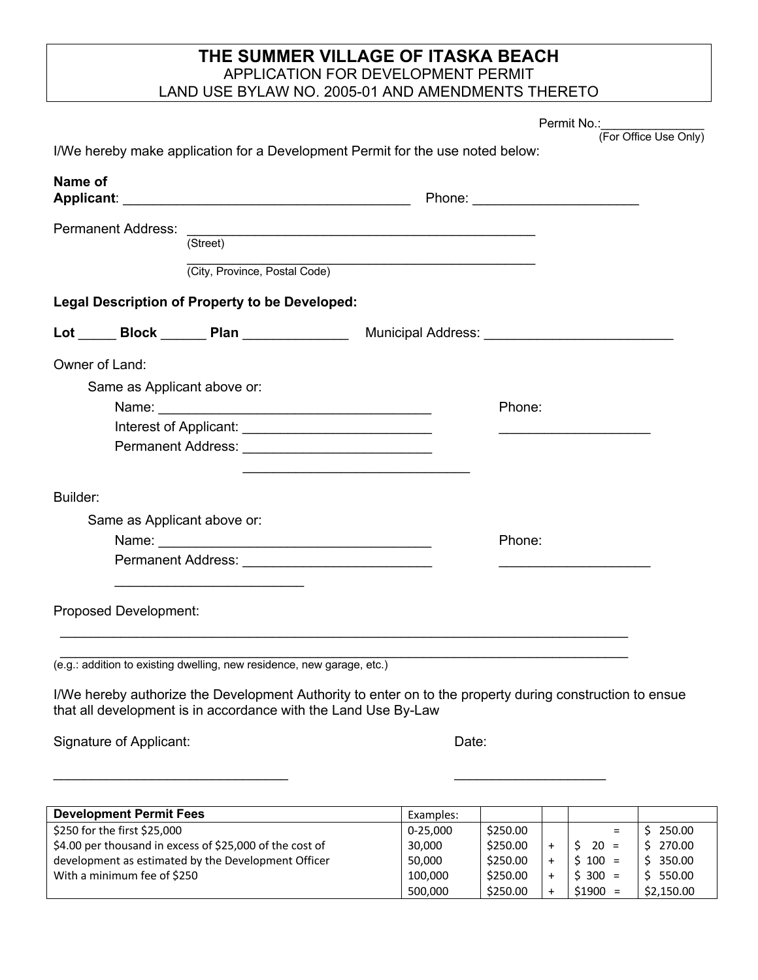## **THE SUMMER VILLAGE OF ITASKA BEACH** APPLICATION FOR DEVELOPMENT PERMIT LAND USE BYLAW NO. 2005-01 AND AMENDMENTS THERETO

Permit No.: \_\_\_\_\_\_\_\_\_\_\_\_\_\_\_\_\_\_

(For Office Use Only)

| Name of                      |                                                                        |                                                                                   |  |  |  |  |
|------------------------------|------------------------------------------------------------------------|-----------------------------------------------------------------------------------|--|--|--|--|
| <b>Permanent Address:</b>    |                                                                        | (Street)                                                                          |  |  |  |  |
|                              |                                                                        |                                                                                   |  |  |  |  |
|                              | (City, Province, Postal Code)                                          |                                                                                   |  |  |  |  |
|                              | Legal Description of Property to be Developed:                         |                                                                                   |  |  |  |  |
|                              |                                                                        | Lot ______ Block _______ Plan _________________ Municipal Address: ______________ |  |  |  |  |
| Owner of Land:               |                                                                        |                                                                                   |  |  |  |  |
|                              | Same as Applicant above or:                                            |                                                                                   |  |  |  |  |
|                              |                                                                        | Phone:                                                                            |  |  |  |  |
|                              |                                                                        |                                                                                   |  |  |  |  |
|                              |                                                                        |                                                                                   |  |  |  |  |
| Builder:                     |                                                                        |                                                                                   |  |  |  |  |
|                              | Same as Applicant above or:                                            |                                                                                   |  |  |  |  |
|                              |                                                                        | Phone:                                                                            |  |  |  |  |
|                              | Permanent Address: ______________________________                      |                                                                                   |  |  |  |  |
| <b>Proposed Development:</b> |                                                                        |                                                                                   |  |  |  |  |
|                              | (e.g.: addition to existing dwelling, new residence, new garage, etc.) | <u> 1980 - Johann Barbara, martin amerikan personal (</u>                         |  |  |  |  |

Signature of Applicant: Date: Date: Date:

| <b>Development Permit Fees</b>                           | Examples:    |          |           |               |            |
|----------------------------------------------------------|--------------|----------|-----------|---------------|------------|
| \$250 for the first \$25,000                             | $0 - 25.000$ | \$250.00 |           | $\equiv$      | 250.00     |
| \$4.00 per thousand in excess of \$25,000 of the cost of | 30,000       | \$250.00 |           | 20<br>$=$     | 270.00     |
| development as estimated by the Development Officer      | 50,000       | \$250.00 |           | $$100 =$      | 350.00     |
| With a minimum fee of \$250                              | 100.000      | \$250.00 | $\div$    | $$300 =$      | 550.00     |
|                                                          | 500.000      | \$250.00 | $\ddot{}$ | \$1900<br>$=$ | \$2,150.00 |

 $\mathcal{L}_\text{max} = \frac{1}{2} \sum_{i=1}^{n} \frac{1}{2} \sum_{i=1}^{n} \frac{1}{2} \sum_{i=1}^{n} \frac{1}{2} \sum_{i=1}^{n} \frac{1}{2} \sum_{i=1}^{n} \frac{1}{2} \sum_{i=1}^{n} \frac{1}{2} \sum_{i=1}^{n} \frac{1}{2} \sum_{i=1}^{n} \frac{1}{2} \sum_{i=1}^{n} \frac{1}{2} \sum_{i=1}^{n} \frac{1}{2} \sum_{i=1}^{n} \frac{1}{2} \sum_{i=1}^{n} \frac{1$